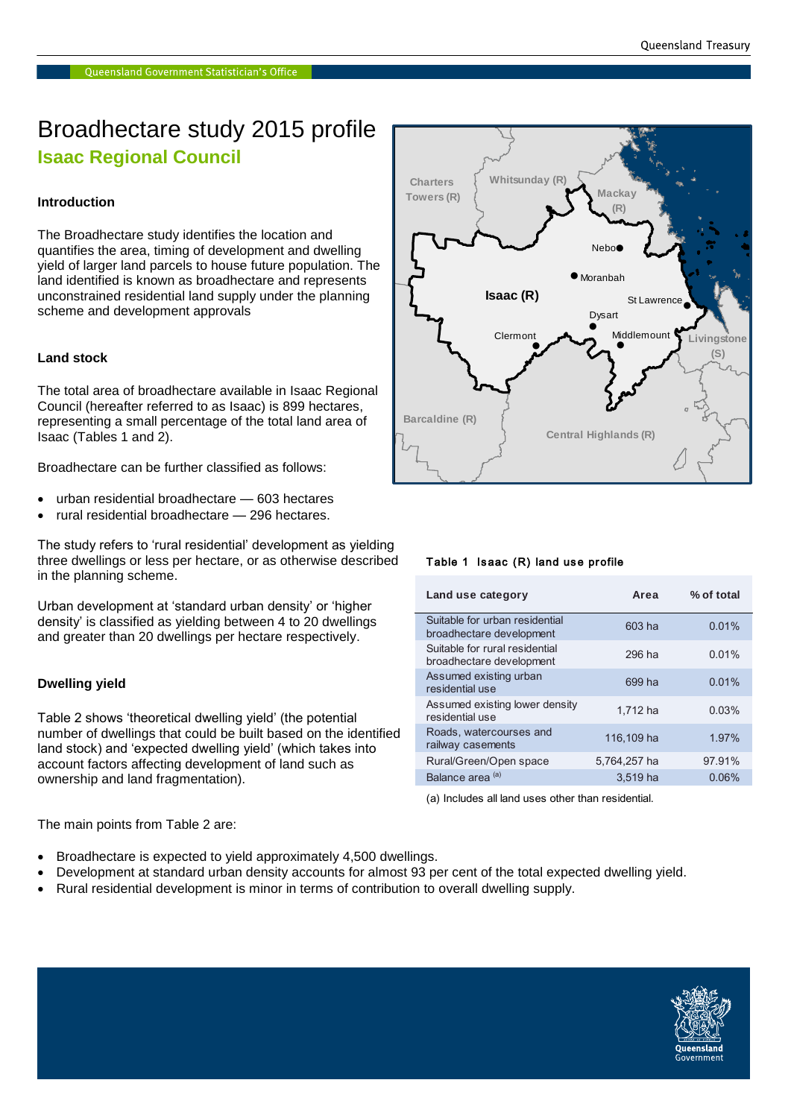## Broadhectare study 2015 profile **Isaac Regional Council**

### **Introduction**

The Broadhectare study identifies the location and quantifies the area, timing of development and dwelling yield of larger land parcels to house future population. The land identified is known as broadhectare and represents unconstrained residential land supply under the planning scheme and development approvals

### **Land stock**

The total area of broadhectare available in Isaac Regional Council (hereafter referred to as Isaac) is 899 hectares, representing a small percentage of the total land area of Isaac (Tables 1 and 2).

Broadhectare can be further classified as follows:

- urban residential broadhectare 603 hectares
- rural residential broadhectare 296 hectares.

The study refers to 'rural residential' development as yielding three dwellings or less per hectare, or as otherwise described in the planning scheme.

Urban development at 'standard urban density' or 'higher density' is classified as yielding between 4 to 20 dwellings and greater than 20 dwellings per hectare respectively.

### **Dwelling yield**

Table 2 shows 'theoretical dwelling yield' (the potential number of dwellings that could be built based on the identified land stock) and 'expected dwelling yield' (which takes into account factors affecting development of land such as ownership and land fragmentation).



- Broadhectare is expected to yield approximately 4,500 dwellings.
- Development at standard urban density accounts for almost 93 per cent of the total expected dwelling yield.
- Rural residential development is minor in terms of contribution to overall dwelling supply.



### Table 1 Isaac (R) land use profile

| Land use category                                          | Area         | % of total |
|------------------------------------------------------------|--------------|------------|
| Suitable for urban residential<br>broadhectare development | 603 ha       | 0.01%      |
| Suitable for rural residential<br>broadhectare development | 296 ha       | 0.01%      |
| Assumed existing urban<br>residential use                  | 699 ha       | 0.01%      |
| Assumed existing lower density<br>residential use          | 1,712 ha     | 0.03%      |
| Roads, watercourses and<br>railway casements               | 116,109 ha   | 1.97%      |
| Rural/Green/Open space                                     | 5.764.257 ha | 97.91%     |
| Balance area <sup>(a)</sup>                                | 3.519 ha     | 0.06%      |

(a) Includes all land uses other than residential.

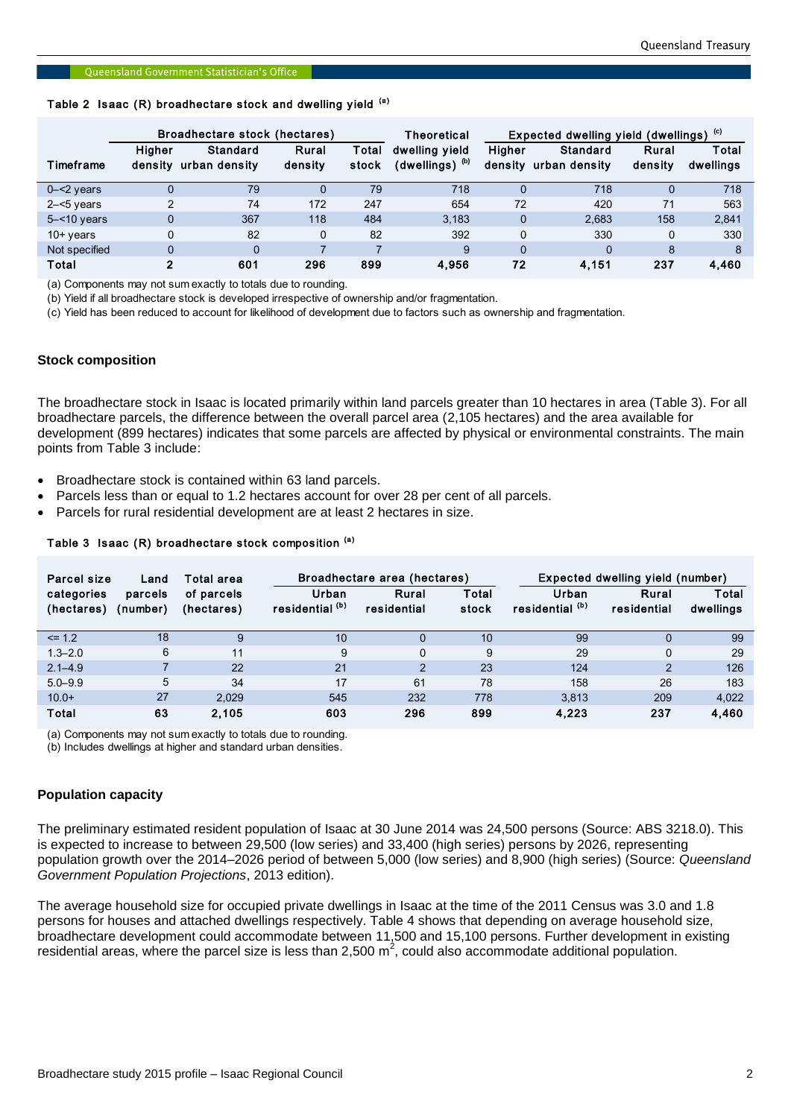# Queensland Government Statistician's Office<br>Table 2 Isaac (R) broadhectare stock and dwelling yield <sup>(a)</sup>

|                 | Broadhectare stock (hectares) |                           |                  |                | Theoretical                                   | Expected dwelling yield (dwellings) (c) |                           |                  |                    |
|-----------------|-------------------------------|---------------------------|------------------|----------------|-----------------------------------------------|-----------------------------------------|---------------------------|------------------|--------------------|
| Timeframe       | <b>Higher</b><br>density      | Standard<br>urban densitv | Rural<br>density | Total<br>stock | dwelling vield<br>$(dwelling)$ <sup>(b)</sup> | <b>Higher</b><br>density                | Standard<br>urban density | Rural<br>density | Total<br>dwellings |
| $0 - 2$ years   |                               | 79                        |                  | 79             | 718                                           |                                         | 718                       | O                | 718                |
| $2 - 5$ years   | C                             | 74                        | 172              | 247            | 654                                           | 72                                      | 420                       | 71               | 563                |
| $5 - 10$ years  | $\Omega$                      | 367                       | 118              | 484            | 3.183                                         | 0                                       | 2,683                     | 158              | 2,841              |
| $10+$ years     | 0                             | 82                        | $\Omega$         | 82             | 392                                           | 0                                       | 330                       | $\Omega$         | 330                |
| Not specified   | $\Omega$                      | $\Omega$                  |                  |                | 9                                             | $\Omega$                                | 0                         | 8                | 8                  |
| Total<br>$\sim$ | 2                             | 601<br>.                  | 296              | 899            | 4.956                                         | 72                                      | 4,151                     | 237              | 4,460              |

(a) Components may not sum exactly to totals due to rounding.

(b) Yield if all broadhectare stock is developed irrespective of ownership and/or fragmentation.

(c) Yield has been reduced to account for likelihood of development due to factors such as ownership and fragmentation.

### **Stock composition**

The broadhectare stock in Isaac is located primarily within land parcels greater than 10 hectares in area (Table 3). For all broadhectare parcels, the difference between the overall parcel area (2,105 hectares) and the area available for development (899 hectares) indicates that some parcels are affected by physical or environmental constraints. The main points from Table 3 include:

- Broadhectare stock is contained within 63 land parcels.
- Parcels less than or equal to 1.2 hectares account for over 28 per cent of all parcels.
- Parcels for rural residential development are at least 2 hectares in size.<br>
Table 3 Isaac (R) broadhectare stock composition <sup>(a)</sup>

| Parcel size<br>Land      |                     | Total area               |                          | Broadhectare area (hectares) |                | Expected dwelling yield (number) |                      |                    |
|--------------------------|---------------------|--------------------------|--------------------------|------------------------------|----------------|----------------------------------|----------------------|--------------------|
| categories<br>(hectares) | parcels<br>(number) | of parcels<br>(hectares) | Urban<br>residential (b) | Rural<br>residential         | Total<br>stock | Urban<br>residential (b)         | Rural<br>residential | Total<br>dwellings |
| $\leq$ 1.2               | 18                  | 9                        | 10                       | 0                            | 10             | 99                               | 0                    | 99                 |
| $1.3 - 2.0$              | 6                   | 11                       | 9                        | $\mathbf 0$                  | 9              | 29                               | $\mathbf 0$          | 29                 |
| $2.1 - 4.9$              |                     | 22                       | 21                       | 2                            | 23             | 124                              | $\overline{2}$       | 126                |
| $5.0 - 9.9$              | 5                   | 34                       | 17                       | 61                           | 78             | 158                              | 26                   | 183                |
| $10.0+$                  | 27                  | 2.029                    | 545                      | 232                          | 778            | 3.813                            | 209                  | 4,022              |
| Total<br>.               | 63                  | 2,105<br>.               | 603                      | 296                          | 899            | 4,223                            | 237                  | 4,460              |

(a) Components may not sum exactly to totals due to rounding.

(b) Includes dwellings at higher and standard urban densities.

### **Population capacity**

The preliminary estimated resident population of Isaac at 30 June 2014 was 24,500 persons (Source: ABS 3218.0). This is expected to increase to between 29,500 (low series) and 33,400 (high series) persons by 2026, representing population growth over the 2014–2026 period of between 5,000 (low series) and 8,900 (high series) (Source: *Queensland Government Population Projections*, 2013 edition).

The average household size for occupied private dwellings in Isaac at the time of the 2011 Census was 3.0 and 1.8 persons for houses and attached dwellings respectively. Table 4 shows that depending on average household size, broadhectare development could accommodate between 11,500 and 15,100 persons. Further development in existing residential areas, where the parcel size is less than 2,500 m<sup>2</sup>, could also accommodate additional population.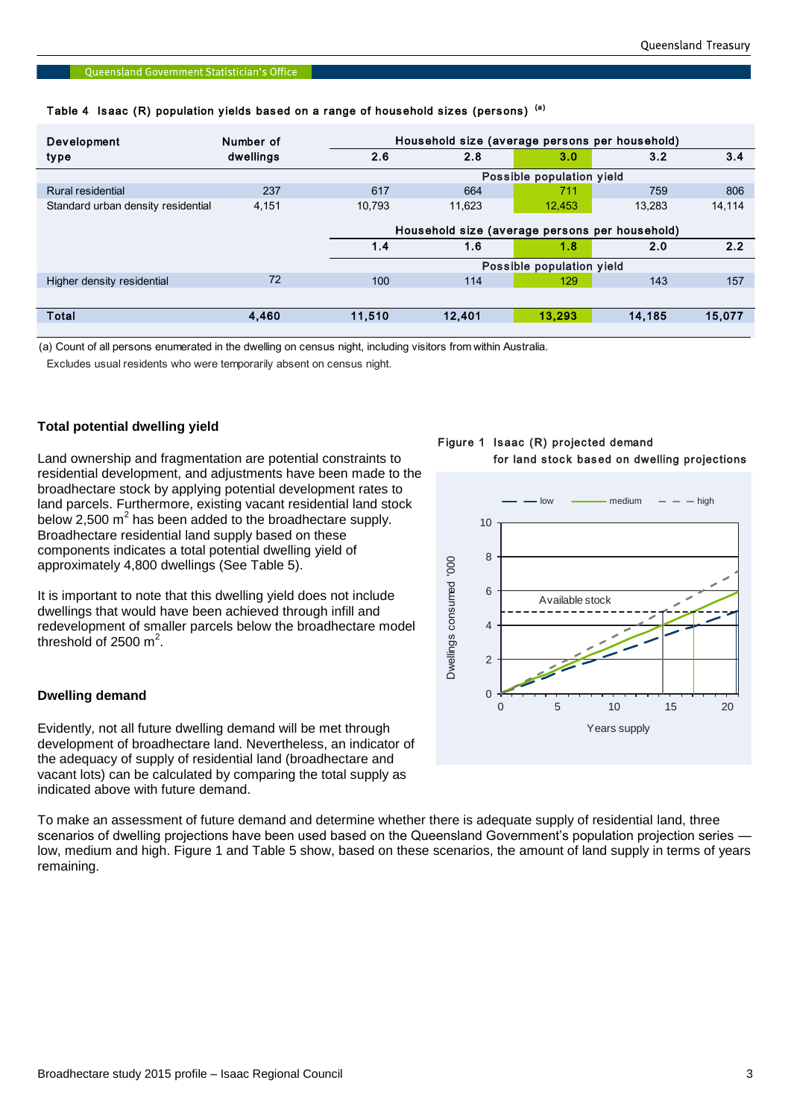|  |  |  |  |  |  | Table 4  Isaac (R) population yields based on a range of household sizes (persons) <sup>(a)</sup> |  |  |  |
|--|--|--|--|--|--|---------------------------------------------------------------------------------------------------|--|--|--|
|--|--|--|--|--|--|---------------------------------------------------------------------------------------------------|--|--|--|

| <b>Development</b>                 | Number of |        | Household size (average persons per household) |                           |        |        |  |  |
|------------------------------------|-----------|--------|------------------------------------------------|---------------------------|--------|--------|--|--|
| type                               | dwellings | 2.6    | 2.8                                            | 3.0                       | 3.2    | 3.4    |  |  |
|                                    |           |        |                                                | Possible population yield |        |        |  |  |
| Rural residential                  | 237       | 617    | 664                                            | 711                       | 759    | 806    |  |  |
| Standard urban density residential | 4,151     | 10.793 | 11.623                                         | 12.453                    | 13.283 | 14,114 |  |  |
|                                    |           |        |                                                |                           |        |        |  |  |
|                                    |           |        | Household size (average persons per household) |                           |        |        |  |  |
|                                    |           | 1.4    | 1.6                                            | 1.8                       | 2.0    | 2.2    |  |  |
|                                    |           |        |                                                | Possible population yield |        |        |  |  |
| Higher density residential         | 72        | 100    | 114                                            | 129                       | 143    | 157    |  |  |
|                                    |           |        |                                                |                           |        |        |  |  |
| Total                              | 4.460     | 11,510 | 12,401                                         | 13.293                    | 14.185 | 15,077 |  |  |
|                                    |           |        |                                                |                           |        |        |  |  |

(a) Count of all persons enumerated in the dwelling on census night, including visitors from within Australia.

Excludes usual residents who were temporarily absent on census night.

### **Total potential dwelling yield**

Land ownership and fragmentation are potential constraints to residential development, and adjustments have been made to the broadhectare stock by applying potential development rates to land parcels. Furthermore, existing vacant residential land stock below 2,500  $m^2$  has been added to the broadhectare supply. Broadhectare residential land supply based on these components indicates a total potential dwelling yield of approximately 4,800 dwellings (See Table 5).

It is important to note that this dwelling yield does not include dwellings that would have been achieved through infill and redevelopment of smaller parcels below the broadhectare model threshold of 2500  $m^2$ .

### **Dwelling demand**

Evidently, not all future dwelling demand will be met through development of broadhectare land. Nevertheless, an indicator of the adequacy of supply of residential land (broadhectare and vacant lots) can be calculated by comparing the total supply as indicated above with future demand.

To make an assessment of future demand and determine whether there is adequate supply of residential land, three scenarios of dwelling projections have been used based on the Queensland Government's population projection series low, medium and high. Figure 1 and Table 5 show, based on these scenarios, the amount of land supply in terms of years remaining.

### Figure 1 Isaac (R) projected demand for land stock based on dwelling projections



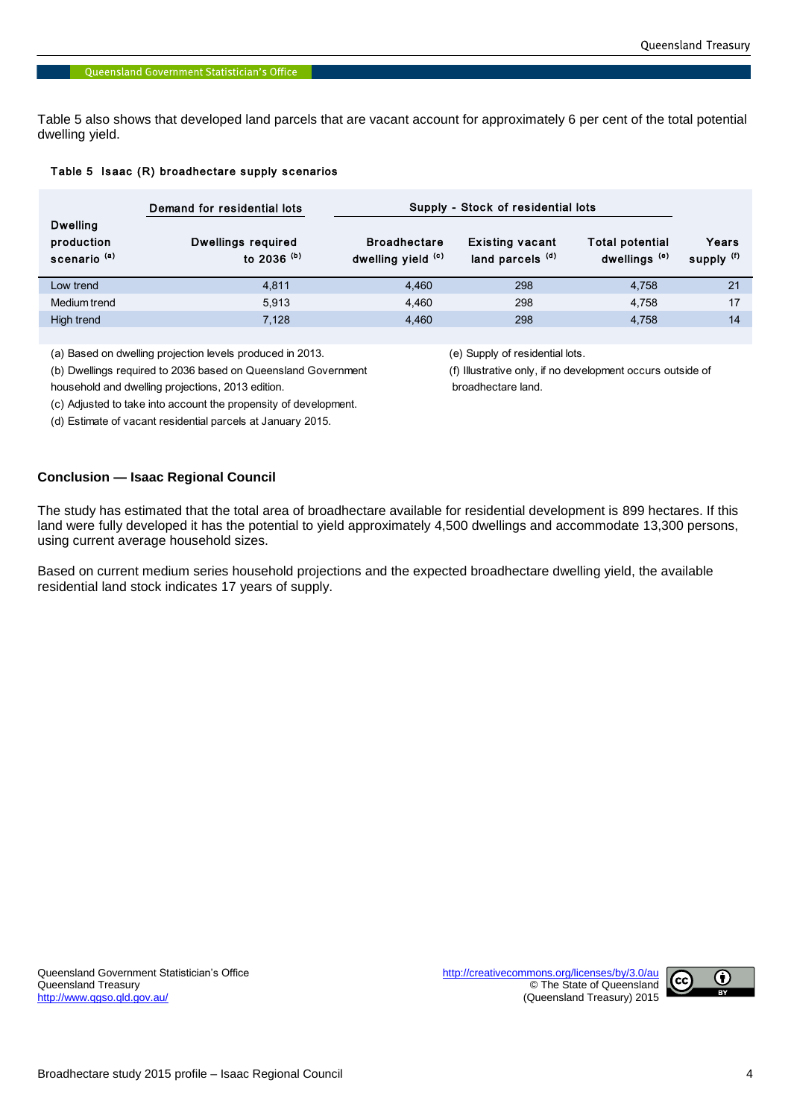Table 5 also shows that developed land parcels that are vacant account for approximately 6 per cent of the total potential dwelling yield.

### Table 5 Isaac (R) broadhectare supply scenarios

|                                                          | Demand for residential lots         | Supply - Stock of residential lots        |                                                       |                                             |                     |  |  |  |
|----------------------------------------------------------|-------------------------------------|-------------------------------------------|-------------------------------------------------------|---------------------------------------------|---------------------|--|--|--|
| <b>Dwelling</b><br>production<br>scenario <sup>(a)</sup> | Dwellings required<br>to 2036 $(b)$ | <b>Broadhectare</b><br>dwelling yield (c) | <b>Existing vacant</b><br>land parcels <sup>(d)</sup> | Total potential<br>dwellings <sup>(e)</sup> | Years<br>supply (f) |  |  |  |
| Low trend                                                | 4.811                               | 4.460                                     | 298                                                   | 4.758                                       | 21                  |  |  |  |
| Medium trend                                             | 5.913                               | 4.460                                     | 298                                                   | 4.758                                       | 17                  |  |  |  |
| High trend                                               | 7.128                               | 4.460                                     | 298                                                   | 4.758                                       | 14                  |  |  |  |

(a) Based on dwelling projection levels produced in 2013. (e) Supply of residential lots.

(b) Dwellings required to 2036 based on Queensland Government (f) Illustrative only, if no development occurs outside of

household and dwelling projections, 2013 edition. broadhectare land.

(c) Adjusted to take into account the propensity of development.

(d) Estimate of vacant residential parcels at January 2015.

### **Conclusion — Isaac Regional Council**

The study has estimated that the total area of broadhectare available for residential development is 899 hectares. If this land were fully developed it has the potential to yield approximately 4,500 dwellings and accommodate 13,300 persons, using current average household sizes.

Based on current medium series household projections and the expected broadhectare dwelling yield, the available residential land stock indicates 17 years of supply.